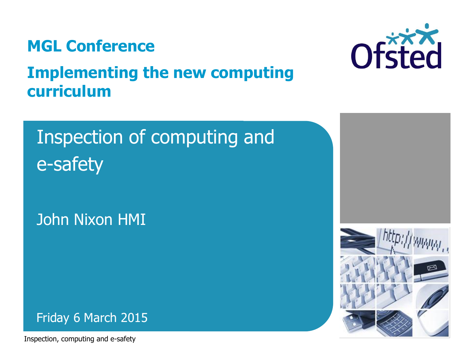

### **Implementing the new computing curriculum**



## Inspection of computing and e-safety

John Nixon HMI



Inspection, computing and e-safety

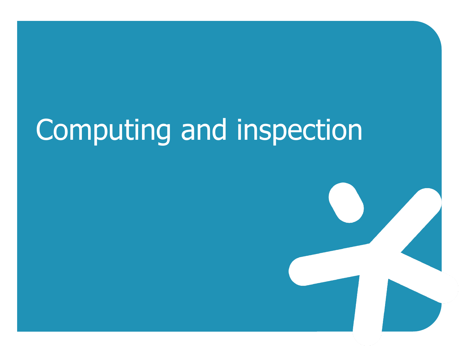# Computing and inspection

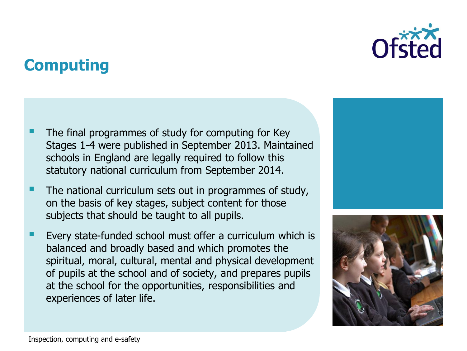### **Computing**

- The final programmes of study for computing for Key Stages 1-4 were published in September 2013. Maintained schools in England are legally required to follow this statutory national curriculum from September 2014.
- The national curriculum sets out in programmes of study, on the basis of key stages, subject content for those subjects that should be taught to all pupils.
- Every state-funded school must offer a curriculum which is balanced and broadly based and which promotes the spiritual, moral, cultural, mental and physical development of pupils at the school and of society, and prepares pupils at the school for the opportunities, responsibilities and experiences of later life.



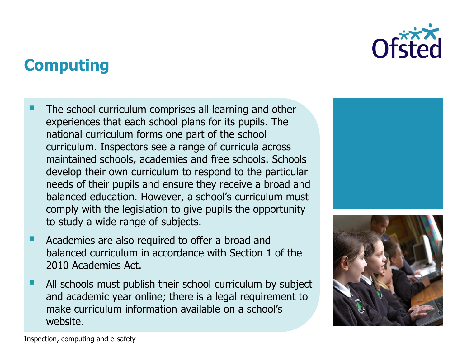

### **Computing**

- The school curriculum comprises all learning and other experiences that each school plans for its pupils. The national curriculum forms one part of the school curriculum. Inspectors see a range of curricula across maintained schools, academies and free schools. Schools develop their own curriculum to respond to the particular needs of their pupils and ensure they receive a broad and balanced education. However, a school's curriculum must comply with the legislation to give pupils the opportunity to study a wide range of subjects.
- Academies are also required to offer a broad and balanced curriculum in accordance with Section 1 of the 2010 Academies Act.
- All schools must publish their school curriculum by subject and academic year online; there is a legal requirement to make curriculum information available on a school's website.



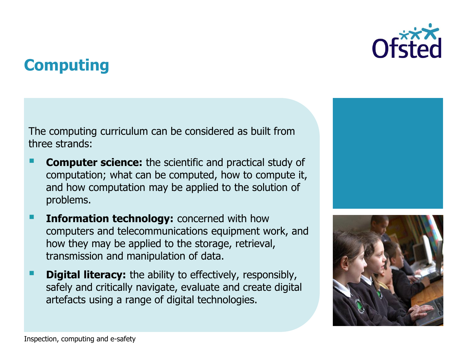### **Computing**

The computing curriculum can be considered as built from three strands:

- **Computer science:** the scientific and practical study of computation; what can be computed, how to compute it, and how computation may be applied to the solution of problems.
- **Information technology:** concerned with how computers and telecommunications equipment work, and how they may be applied to the storage, retrieval, transmission and manipulation of data.
- **Digital literacy:** the ability to effectively, responsibly, safely and critically navigate, evaluate and create digital artefacts using a range of digital technologies.



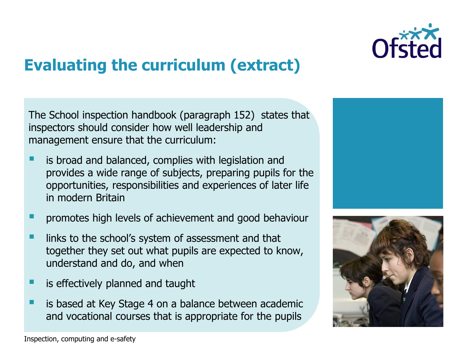

## **Evaluating the curriculum (extract)**

The School inspection handbook (paragraph 152) states that inspectors should consider how well leadership and management ensure that the curriculum:

- is broad and balanced, complies with legislation and provides a wide range of subjects, preparing pupils for the opportunities, responsibilities and experiences of later life in modern Britain
- promotes high levels of achievement and good behaviour
- links to the school's system of assessment and that together they set out what pupils are expected to know, understand and do, and when
- is effectively planned and taught
- is based at Key Stage 4 on a balance between academic and vocational courses that is appropriate for the pupils



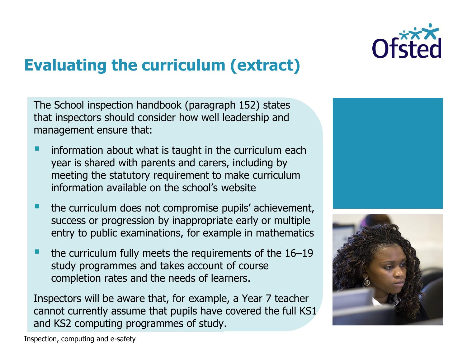

## **Evaluating the curriculum (extract)**

The School inspection handbook (paragraph 152) states that inspectors should consider how well leadership and management ensure that:

- information about what is taught in the curriculum each year is shared with parents and carers, including by meeting the statutory requirement to make curriculum information available on the school's website
- the curriculum does not compromise pupils' achievement, success or progression by inappropriate early or multiple entry to public examinations, for example in mathematics
- the curriculum fully meets the requirements of the 16–19 study programmes and takes account of course completion rates and the needs of learners.

Inspectors will be aware that, for example, a Year 7 teacher cannot currently assume that pupils have covered the full KS1 and KS2 computing programmes of study.





Inspection, computing and e-safety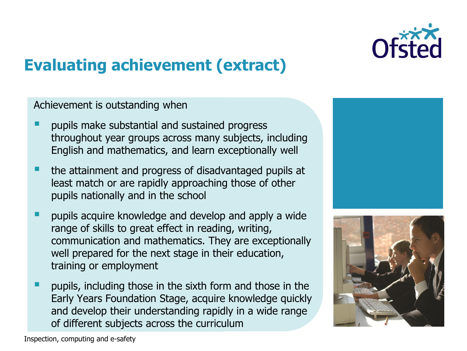

### **Evaluating achievement (extract)**

Achievement is outstanding when

- pupils make substantial and sustained progress throughout year groups across many subjects, including English and mathematics, and learn exceptionally well
- **the attainment and progress of disadvantaged pupils at 4** least match or are rapidly approaching those of other pupils nationally and in the school
- pupils acquire knowledge and develop and apply a wide range of skills to great effect in reading, writing, communication and mathematics. They are exceptionally well prepared for the next stage in their education, training or employment
- pupils, including those in the sixth form and those in the Early Years Foundation Stage, acquire knowledge quickly and develop their understanding rapidly in a wide range of different subjects across the curriculum



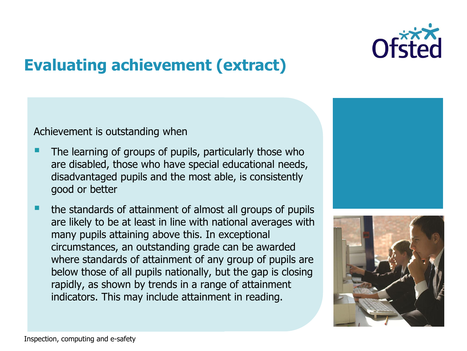

### **Evaluating achievement (extract)**

Achievement is outstanding when

- The learning of groups of pupils, particularly those who are disabled, those who have special educational needs, disadvantaged pupils and the most able, is consistently good or better
- the standards of attainment of almost all groups of pupils are likely to be at least in line with national averages with many pupils attaining above this. In exceptional circumstances, an outstanding grade can be awarded where standards of attainment of any group of pupils are below those of all pupils nationally, but the gap is closing rapidly, as shown by trends in a range of attainment indicators. This may include attainment in reading.



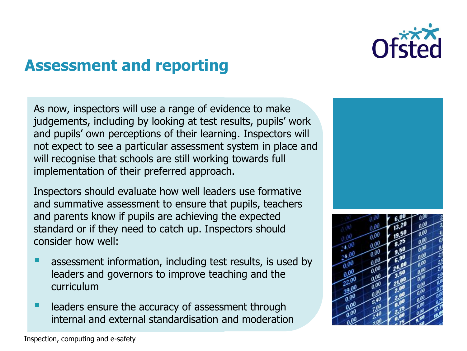

### **Assessment and reporting**

As now, inspectors will use a range of evidence to make judgements, including by looking at test results, pupils' work and pupils' own perceptions of their learning. Inspectors will not expect to see a particular assessment system in place and will recognise that schools are still working towards full implementation of their preferred approach.

Inspectors should evaluate how well leaders use formative and summative assessment to ensure that pupils, teachers and parents know if pupils are achieving the expected standard or if they need to catch up. Inspectors should consider how well:

- assessment information, including test results, is used by leaders and governors to improve teaching and the curriculum
- leaders ensure the accuracy of assessment through internal and external standardisation and moderation

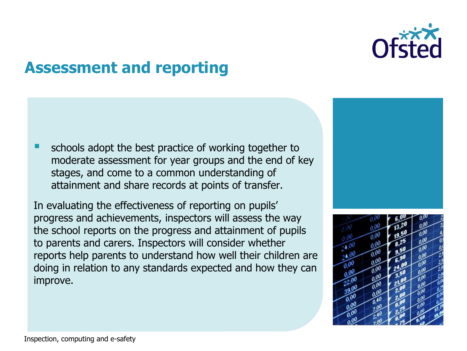

### **Assessment and reporting**

 schools adopt the best practice of working together to moderate assessment for year groups and the end of key stages, and come to a common understanding of attainment and share records at points of transfer.

In evaluating the effectiveness of reporting on pupils' progress and achievements, inspectors will assess the way the school reports on the progress and attainment of pupils to parents and carers. Inspectors will consider whether reports help parents to understand how well their children are doing in relation to any standards expected and how they can improve.

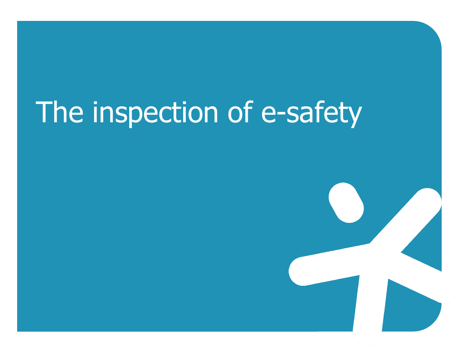# The inspection of e-safety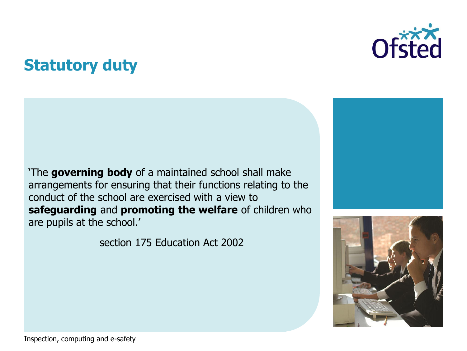### **Statutory duty**







'The **governing body** of a maintained school shall make arrangements for ensuring that their functions relating to the conduct of the school are exercised with a view to **safeguarding** and **promoting the welfare** of children who are pupils at the school.'

section 175 Education Act 2002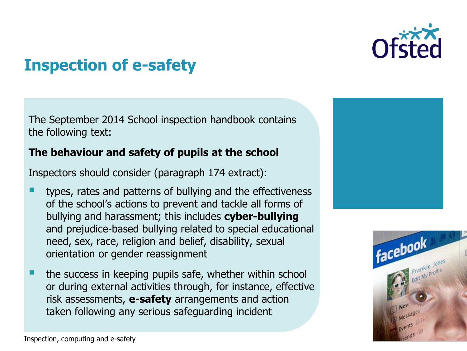

### **Inspection of e-safety**

The September 2014 School inspection handbook contains the following text:

### **The behaviour and safety of pupils at the school**

Inspectors should consider (paragraph 174 extract):

- types, rates and patterns of bullying and the effectiveness of the school's actions to prevent and tackle all forms of bullying and harassment; this includes **cyber-bullying** and prejudice-based bullying related to special educational need, sex, race, religion and belief, disability, sexual orientation or gender reassignment
- the success in keeping pupils safe, whether within school or during external activities through, for instance, effective risk assessments, **e-safety** arrangements and action taken following any serious safeguarding incident



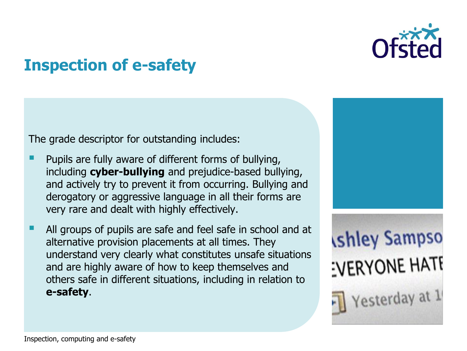

### **Inspection of e-safety**

The grade descriptor for outstanding includes:

- Pupils are fully aware of different forms of bullying, including **cyber-bullying** and prejudice-based bullying, and actively try to prevent it from occurring. Bullying and derogatory or aggressive language in all their forms are very rare and dealt with highly effectively.
- All groups of pupils are safe and feel safe in school and at alternative provision placements at all times. They understand very clearly what constitutes unsafe situations and are highly aware of how to keep themselves and others safe in different situations, including in relation to **e-safety**.

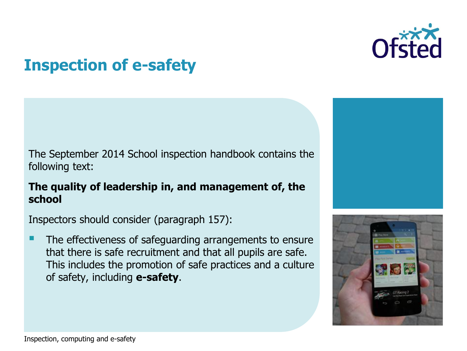

### **Inspection of e-safety**

The September 2014 School inspection handbook contains the following text:

### **The quality of leadership in, and management of, the school**

Inspectors should consider (paragraph 157):

 The effectiveness of safeguarding arrangements to ensure that there is safe recruitment and that all pupils are safe. This includes the promotion of safe practices and a culture of safety, including **e-safety**.



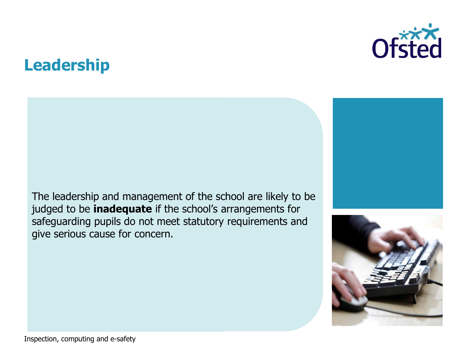### **Leadership**



The leadership and management of the school are likely to be judged to be **inadequate** if the school's arrangements for safeguarding pupils do not meet statutory requirements and give serious cause for concern.



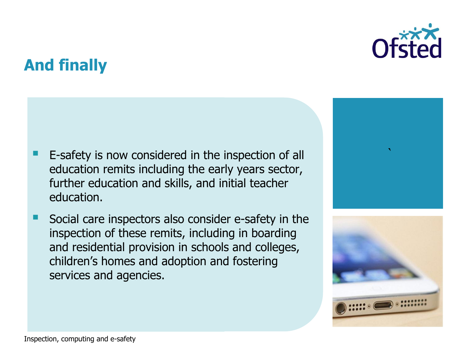

### **And finally**

- E-safety is now considered in the inspection of all education remits including the early years sector, further education and skills, and initial teacher education.
- Social care inspectors also consider e-safety in the inspection of these remits, including in boarding and residential provision in schools and colleges, children's homes and adoption and fostering services and agencies.



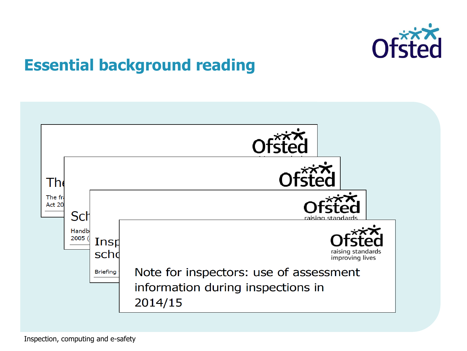

### **Essential background reading**

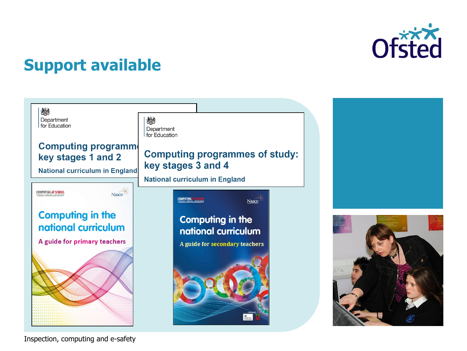

### **Support available**



Inspection, computing and e-safety